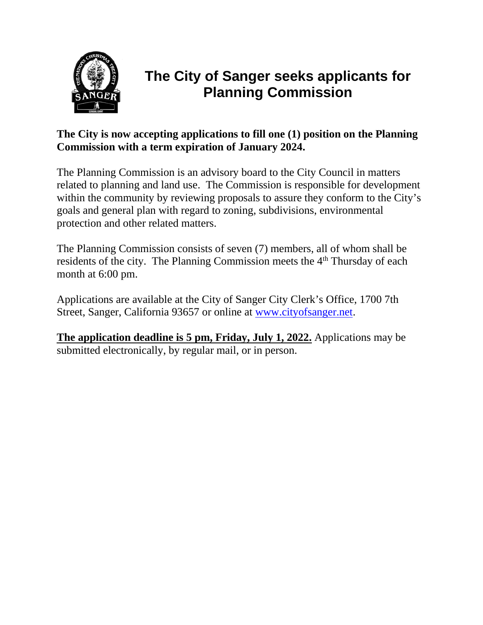

# **The City of Sanger seeks applicants for Planning Commission**

## **The City is now accepting applications to fill one (1) position on the Planning Commission with a term expiration of January 2024.**

The Planning Commission is an advisory board to the City Council in matters related to planning and land use. The Commission is responsible for development within the community by reviewing proposals to assure they conform to the City's goals and general plan with regard to zoning, subdivisions, environmental protection and other related matters.

The Planning Commission consists of seven (7) members, all of whom shall be residents of the city. The Planning Commission meets the 4<sup>th</sup> Thursday of each month at 6:00 pm.

Applications are available at the City of Sanger City Clerk's Office, 1700 7th Street, Sanger, California 93657 or online at [www.cityofsanger.net.](http://www.cityofsanger.net/)

**The application deadline is 5 pm, Friday, July 1, 2022.** Applications may be submitted electronically, by regular mail, or in person.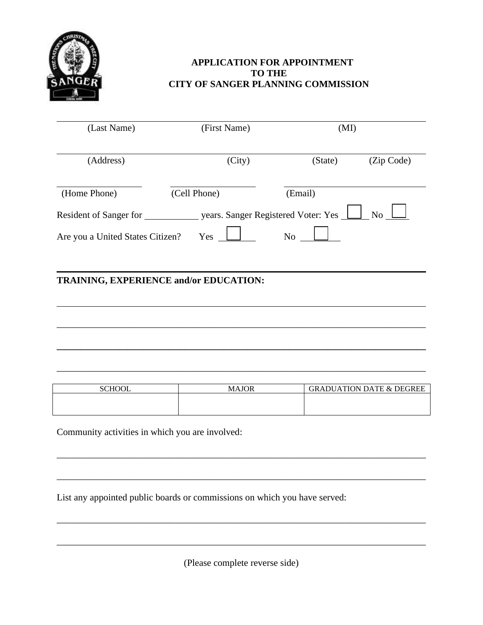

## **APPLICATION FOR APPOINTMENT TO THE CITY OF SANGER PLANNING COMMISSION**

| (First Name) |                                                                                                             |                                             |
|--------------|-------------------------------------------------------------------------------------------------------------|---------------------------------------------|
| (City)       | (State)                                                                                                     | (Zip Code)                                  |
| (Cell Phone) | (Email)                                                                                                     |                                             |
|              |                                                                                                             | <b>No</b>                                   |
| Yes          | N <sub>o</sub>                                                                                              |                                             |
|              |                                                                                                             |                                             |
|              |                                                                                                             |                                             |
|              |                                                                                                             |                                             |
|              | Resident of Sanger for<br>Are you a United States Citizen?<br><b>TRAINING, EXPERIENCE and/or EDUCATION:</b> | (MI)<br>years. Sanger Registered Voter: Yes |

| <b>SCHOOL</b> | <b>MAJOR</b> | <b>GRADUATION DATE &amp; DEGREE</b> |
|---------------|--------------|-------------------------------------|
|               |              |                                     |
|               |              |                                     |

\_\_\_\_\_\_\_\_\_\_\_\_\_\_\_\_\_\_\_\_\_\_\_\_\_\_\_\_\_\_\_\_\_\_\_\_\_\_\_\_\_\_\_\_\_\_\_\_\_\_\_\_\_\_\_\_\_\_\_\_\_\_\_\_\_\_\_\_\_\_\_\_\_\_\_\_\_\_

\_\_\_\_\_\_\_\_\_\_\_\_\_\_\_\_\_\_\_\_\_\_\_\_\_\_\_\_\_\_\_\_\_\_\_\_\_\_\_\_\_\_\_\_\_\_\_\_\_\_\_\_\_\_\_\_\_\_\_\_\_\_\_\_\_\_\_\_\_\_\_\_\_\_\_\_\_\_

\_\_\_\_\_\_\_\_\_\_\_\_\_\_\_\_\_\_\_\_\_\_\_\_\_\_\_\_\_\_\_\_\_\_\_\_\_\_\_\_\_\_\_\_\_\_\_\_\_\_\_\_\_\_\_\_\_\_\_\_\_\_\_\_\_\_\_\_\_\_\_\_\_\_\_\_\_\_

\_\_\_\_\_\_\_\_\_\_\_\_\_\_\_\_\_\_\_\_\_\_\_\_\_\_\_\_\_\_\_\_\_\_\_\_\_\_\_\_\_\_\_\_\_\_\_\_\_\_\_\_\_\_\_\_\_\_\_\_\_\_\_\_\_\_\_\_\_\_\_\_\_\_\_\_\_\_

\_\_\_\_\_\_\_\_\_\_\_\_\_\_\_\_\_\_\_\_\_\_\_\_\_\_\_\_\_\_\_\_\_\_\_\_\_\_\_\_\_\_\_\_\_\_\_\_\_\_\_\_\_\_\_\_\_\_\_\_\_\_\_\_\_\_\_\_\_\_\_\_\_\_\_\_\_\_

**\_\_\_\_\_\_\_\_\_\_\_\_\_\_\_\_\_\_\_\_\_\_\_\_\_\_\_\_\_\_\_\_\_\_\_\_\_\_\_\_\_\_\_\_\_\_\_\_\_\_\_\_\_\_\_\_\_\_\_\_\_\_\_\_\_\_\_\_\_\_\_\_\_\_\_\_\_\_**

\_\_\_\_\_\_\_\_\_\_\_\_\_\_\_\_\_\_\_\_\_\_\_\_\_\_\_\_\_\_\_\_\_\_\_\_\_\_\_\_\_\_\_\_\_\_\_\_\_\_\_\_\_\_\_\_\_\_\_\_\_\_\_\_\_\_\_\_\_\_\_\_\_\_\_\_\_\_

Community activities in which you are involved:

List any appointed public boards or commissions on which you have served:

(Please complete reverse side)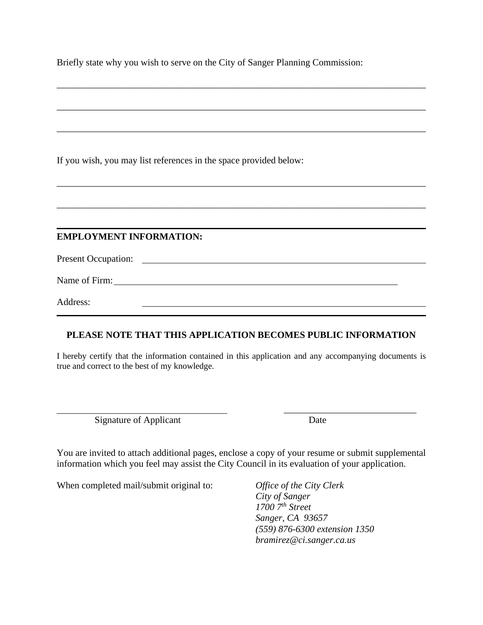Briefly state why you wish to serve on the City of Sanger Planning Commission:

\_\_\_\_\_\_\_\_\_\_\_\_\_\_\_\_\_\_\_\_\_\_\_\_\_\_\_\_\_\_\_\_\_\_\_\_\_\_\_\_\_\_\_\_\_\_\_\_\_\_\_\_\_\_\_\_\_\_\_\_\_\_\_\_\_\_\_\_\_\_\_\_\_\_\_\_\_\_

\_\_\_\_\_\_\_\_\_\_\_\_\_\_\_\_\_\_\_\_\_\_\_\_\_\_\_\_\_\_\_\_\_\_\_\_\_\_\_\_\_\_\_\_\_\_\_\_\_\_\_\_\_\_\_\_\_\_\_\_\_\_\_\_\_\_\_\_\_\_\_\_\_\_\_\_\_\_

\_\_\_\_\_\_\_\_\_\_\_\_\_\_\_\_\_\_\_\_\_\_\_\_\_\_\_\_\_\_\_\_\_\_\_\_\_\_\_\_\_\_\_\_\_\_\_\_\_\_\_\_\_\_\_\_\_\_\_\_\_\_\_\_\_\_\_\_\_\_\_\_\_\_\_\_\_\_

\_\_\_\_\_\_\_\_\_\_\_\_\_\_\_\_\_\_\_\_\_\_\_\_\_\_\_\_\_\_\_\_\_\_\_\_\_\_\_\_\_\_\_\_\_\_\_\_\_\_\_\_\_\_\_\_\_\_\_\_\_\_\_\_\_\_\_\_\_\_\_\_\_\_\_\_\_\_

\_\_\_\_\_\_\_\_\_\_\_\_\_\_\_\_\_\_\_\_\_\_\_\_\_\_\_\_\_\_\_\_\_\_\_\_\_\_\_\_\_\_\_\_\_\_\_\_\_\_\_\_\_\_\_\_\_\_\_\_\_\_\_\_\_\_\_\_\_\_\_\_\_\_\_\_\_\_

If you wish, you may list references in the space provided below:

## **EMPLOYMENT INFORMATION:**

Present Occupation:

Name of Firm:

Address:

## **PLEASE NOTE THAT THIS APPLICATION BECOMES PUBLIC INFORMATION**

I hereby certify that the information contained in this application and any accompanying documents is true and correct to the best of my knowledge.

Signature of Applicant Date

\_\_\_\_\_\_\_\_\_\_\_\_\_\_\_\_\_\_\_\_\_\_\_\_\_\_\_\_

You are invited to attach additional pages, enclose a copy of your resume or submit supplemental information which you feel may assist the City Council in its evaluation of your application.

When completed mail/submit original to: *Office of the City Clerk*

*City of Sanger 1700 7th Street Sanger, CA 93657 (559) 876-6300 extension 1350 bramirez@ci.sanger.ca.us*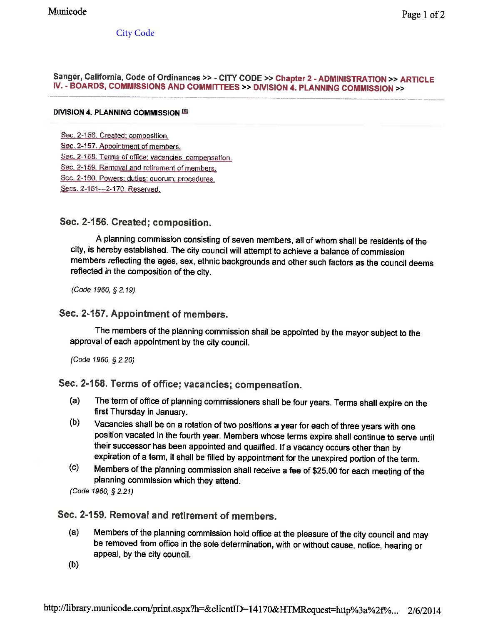**City Code** 

#### Sanger, California, Code of Ordinances >> - CITY CODE >> Chapter 2 - ADMINISTRATION >> ARTICLE IV. - BOARDS, COMMISSIONS AND COMMITTEES >> DIVISION 4. PLANNING COMMISSION >>

#### DIVISION 4. PLANNING COMMISSION <sup>IEI</sup>

Sec. 2-156. Created; composition.

- Sec. 2-157. Appointment of members.
- Sec. 2-158. Terms of office; vacancies; compensation.
- Sec. 2-159. Removal and retirement of members.

Sec. 2-160. Powers; duties; quorum; procedures.

Secs. 2-161-2-170. Reserved.

## Sec. 2-156. Created; composition.

A planning commission consisting of seven members, all of whom shall be residents of the city, is hereby established. The city council will attempt to achieve a balance of commission members reflecting the ages, sex, ethnic backgrounds and other such factors as the council deems reflected in the composition of the city.

(Code 1960, § 2.19)

### Sec. 2-157. Appointment of members.

The members of the planning commission shall be appointed by the mayor subject to the approval of each appointment by the city council.

(Code 1960, § 2.20)

## Sec. 2-158. Terms of office; vacancies; compensation.

- The term of office of planning commissioners shall be four years. Terms shall expire on the  $(a)$ first Thursday in January.
- $(b)$ Vacancies shall be on a rotation of two positions a year for each of three years with one position vacated in the fourth year. Members whose terms expire shall continue to serve until their successor has been appointed and qualified. If a vacancy occurs other than by expiration of a term, it shall be filled by appointment for the unexpired portion of the term.
- $(c)$ Members of the planning commission shall receive a fee of \$25.00 for each meeting of the planning commission which they attend.

(Code 1960, § 2.21)

## Sec. 2-159. Removal and retirement of members.

- Members of the planning commission hold office at the pleasure of the city council and may  $(a)$ be removed from office in the sole determination, with or without cause, notice, hearing or appeal, by the city council.
- $(b)$